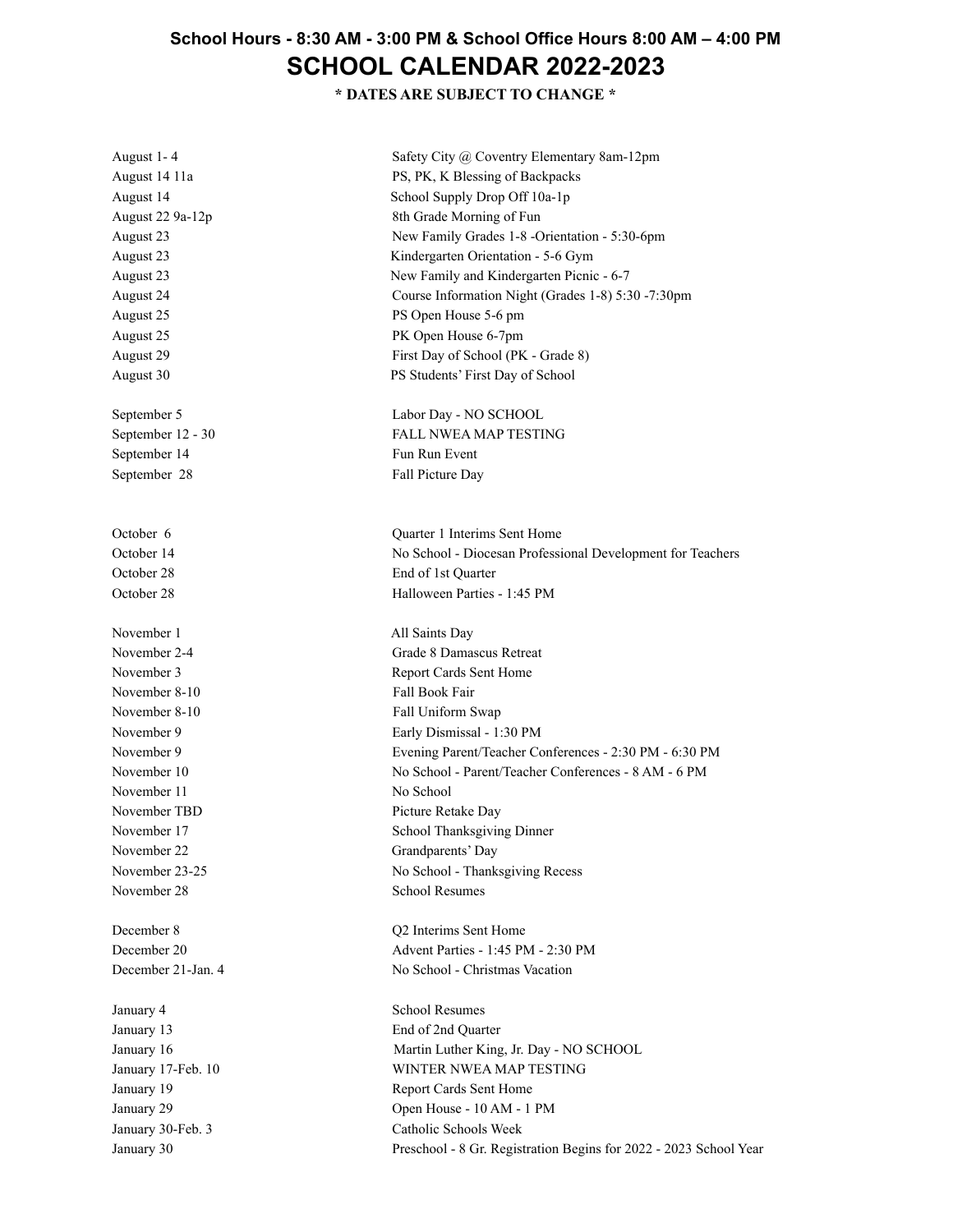## **School Hours - 8:30 AM - 3:00 PM & School Office Hours 8:00 AM – 4:00 PM SCHOOL CALENDAR 2022-2023**

**\* DATES ARE SUBJECT TO CHANGE \***

| August 1-4         | Safety City @ Coventry Elementary 8am-12pm                        |
|--------------------|-------------------------------------------------------------------|
| August 14 11a      | PS, PK, K Blessing of Backpacks                                   |
| August 14          | School Supply Drop Off 10a-1p                                     |
| August 22 9a-12p   | 8th Grade Morning of Fun                                          |
| August 23          | New Family Grades 1-8 -Orientation - 5:30-6pm                     |
| August 23          | Kindergarten Orientation - 5-6 Gym                                |
| August 23          | New Family and Kindergarten Picnic - 6-7                          |
| August 24          | Course Information Night (Grades 1-8) 5:30 -7:30pm                |
| August 25          | PS Open House 5-6 pm                                              |
| August 25          | PK Open House 6-7pm                                               |
| August 29          | First Day of School (PK - Grade 8)                                |
| August 30          | PS Students' First Day of School                                  |
| September 5        | Labor Day - NO SCHOOL                                             |
| September 12 - 30  | <b>FALL NWEA MAP TESTING</b>                                      |
| September 14       | Fun Run Event                                                     |
| September 28       | Fall Picture Day                                                  |
| October 6          | Quarter 1 Interims Sent Home                                      |
| October 14         | No School - Diocesan Professional Development for Teachers        |
| October 28         | End of 1st Quarter                                                |
| October 28         | Halloween Parties - 1:45 PM                                       |
| November 1         | All Saints Day                                                    |
| November 2-4       | Grade 8 Damascus Retreat                                          |
| November 3         | Report Cards Sent Home                                            |
| November 8-10      | Fall Book Fair                                                    |
| November 8-10      | Fall Uniform Swap                                                 |
| November 9         | Early Dismissal - 1:30 PM                                         |
| November 9         | Evening Parent/Teacher Conferences - 2:30 PM - 6:30 PM            |
| November 10        | No School - Parent/Teacher Conferences - 8 AM - 6 PM              |
| November 11        | No School                                                         |
| November TBD       | Picture Retake Day                                                |
| November 17        | School Thanksgiving Dinner                                        |
| November 22        | Grandparents' Day                                                 |
| November 23-25     | No School - Thanksgiving Recess                                   |
| November 28        | <b>School Resumes</b>                                             |
| December 8         | Q2 Interims Sent Home                                             |
| December 20        | Advent Parties - 1:45 PM - 2:30 PM                                |
| December 21-Jan. 4 | No School - Christmas Vacation                                    |
| January 4          | <b>School Resumes</b>                                             |
| January 13         | End of 2nd Quarter                                                |
| January 16         | Martin Luther King, Jr. Day - NO SCHOOL                           |
| January 17-Feb. 10 | WINTER NWEA MAP TESTING                                           |
| January 19         | Report Cards Sent Home                                            |
| January 29         | Open House - 10 AM - 1 PM                                         |
| January 30-Feb. 3  | Catholic Schools Week                                             |
| January 30         | Preschool - 8 Gr. Registration Begins for 2022 - 2023 School Year |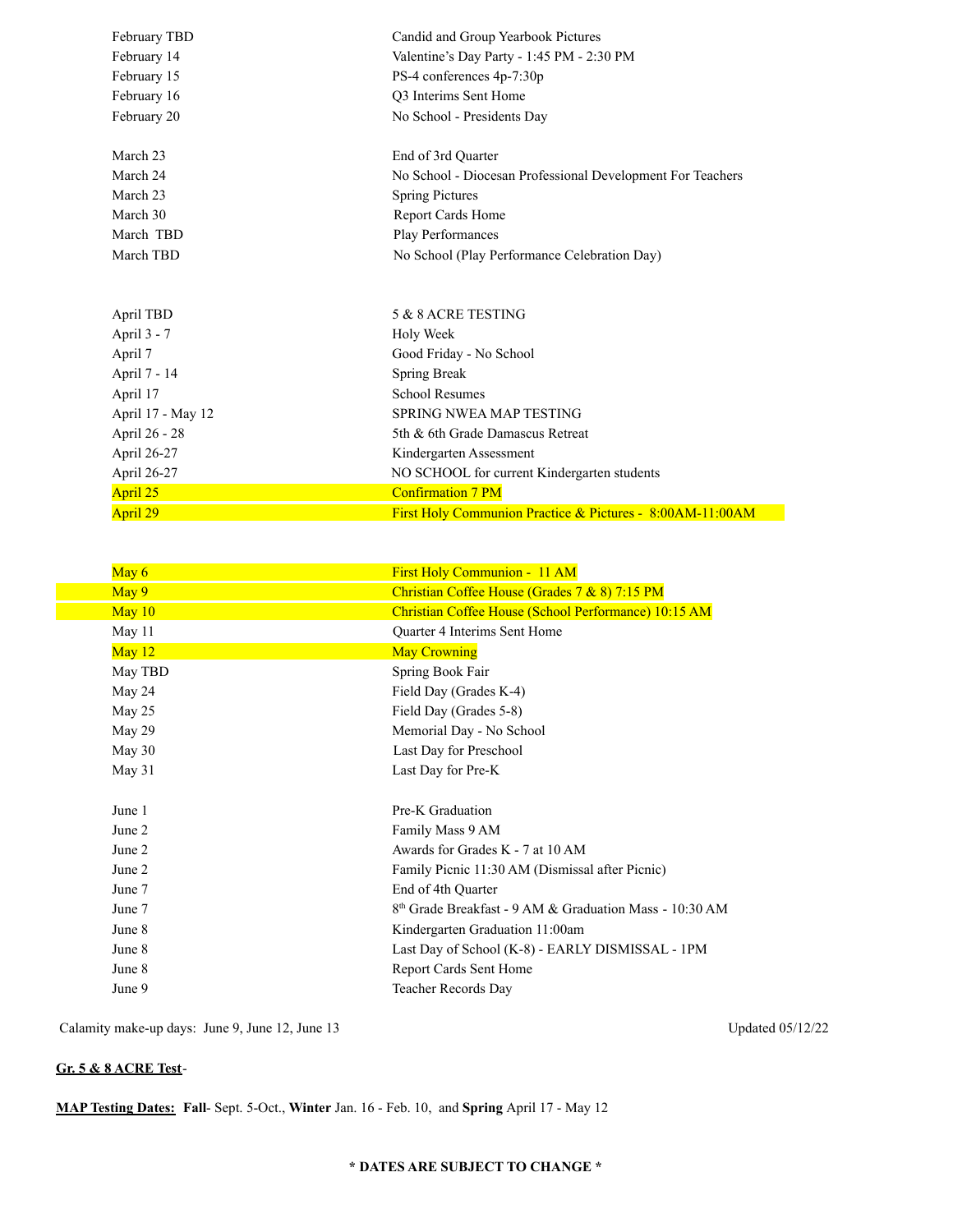| February TBD      | Candid and Group Yearbook Pictures                         |
|-------------------|------------------------------------------------------------|
| February 14       | Valentine's Day Party - 1:45 PM - 2:30 PM                  |
| February 15       | PS-4 conferences 4p-7:30p                                  |
| February 16       | O3 Interims Sent Home                                      |
| February 20       | No School - Presidents Day                                 |
|                   |                                                            |
| March 23          | End of 3rd Quarter                                         |
| March 24          | No School - Diocesan Professional Development For Teachers |
| March 23          | <b>Spring Pictures</b>                                     |
| March 30          | <b>Report Cards Home</b>                                   |
| March TBD         | Play Performances                                          |
| March TBD         | No School (Play Performance Celebration Day)               |
|                   |                                                            |
|                   |                                                            |
| April TBD         | 5 & 8 ACRE TESTING                                         |
| April 3 - 7       | <b>Holy Week</b>                                           |
| April 7           | Good Friday - No School                                    |
| April 7 - 14      | Spring Break                                               |
| April 17          | <b>School Resumes</b>                                      |
| April 17 - May 12 | SPRING NWEA MAP TESTING                                    |
| April 26 - 28     | 5th & 6th Grade Damascus Retreat                           |
| April 26-27       | Kindergarten Assessment                                    |
| April 26-27       | NO SCHOOL for current Kindergarten students                |
| April 25          | <b>Confirmation 7 PM</b>                                   |
| April 29          | First Holy Communion Practice & Pictures - 8:00AM-11:00AM  |
|                   |                                                            |

| May $6$  | First Holy Communion - 11 AM                                        |
|----------|---------------------------------------------------------------------|
| May 9    | Christian Coffee House (Grades 7 & 8) 7:15 PM                       |
| May $10$ | Christian Coffee House (School Performance) 10:15 AM                |
| May 11   | Quarter 4 Interims Sent Home                                        |
| May $12$ | <b>May Crowning</b>                                                 |
| May TBD  | Spring Book Fair                                                    |
| May 24   | Field Day (Grades K-4)                                              |
| May 25   | Field Day (Grades 5-8)                                              |
| May 29   | Memorial Day - No School                                            |
| May 30   | Last Day for Preschool                                              |
| May 31   | Last Day for Pre-K                                                  |
|          |                                                                     |
| June 1   | Pre-K Graduation                                                    |
| June 2   | Family Mass 9 AM                                                    |
| June 2   | Awards for Grades K - 7 at 10 AM                                    |
| June 2   | Family Picnic 11:30 AM (Dismissal after Picnic)                     |
| June 7   | End of 4th Quarter                                                  |
| June 7   | 8 <sup>th</sup> Grade Breakfast - 9 AM & Graduation Mass - 10:30 AM |
| June 8   | Kindergarten Graduation 11:00am                                     |
| June 8   | Last Day of School (K-8) - EARLY DISMISSAL - 1PM                    |
| June 8   | Report Cards Sent Home                                              |
| June 9   | Teacher Records Day                                                 |
|          |                                                                     |

Calamity make-up days: June 9, June 12, June 13 Updated 05/12/22

## **Gr. 5 & 8 ACRE Test**-

**MAP Testing Dates: Fall**- Sept. 5-Oct., **Winter** Jan. 16 - Feb. 10, and **Spring** April 17 - May 12